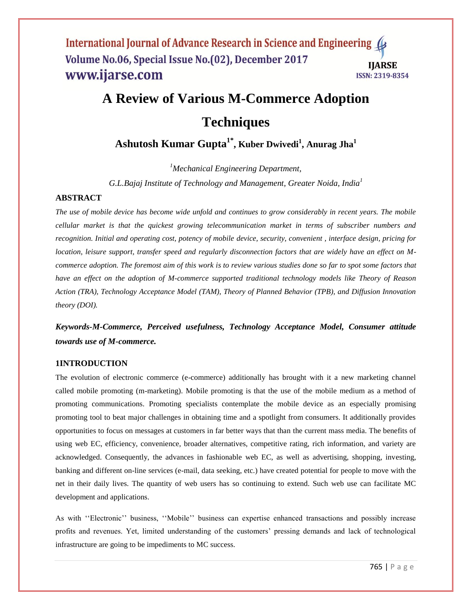# **A Review of Various M-Commerce Adoption Techniques**

**Ashutosh Kumar Gupta1\* , Kuber Dwivedi<sup>1</sup> , Anurag Jha<sup>1</sup>**

*<sup>1</sup>Mechanical Engineering Department,* 

*G.L.Bajaj Institute of Technology and Management, Greater Noida, India<sup>1</sup>*

# **ABSTRACT**

*The use of mobile device has become wide unfold and continues to grow considerably in recent years. The mobile cellular market is that the quickest growing telecommunication market in terms of subscriber numbers and recognition. Initial and operating cost, potency of mobile device, security, convenient , interface design, pricing for location, leisure support, transfer speed and regularly disconnection factors that are widely have an effect on Mcommerce adoption. The foremost aim of this work is to review various studies done so far to spot some factors that have an effect on the adoption of M-commerce supported traditional technology models like Theory of Reason Action (TRA), Technology Acceptance Model (TAM), Theory of Planned Behavior (TPB), and Diffusion Innovation theory (DOI).*

*Keywords-M-Commerce, Perceived usefulness, Technology Acceptance Model, Consumer attitude towards use of M-commerce.*

# **1INTRODUCTION**

The evolution of electronic commerce (e-commerce) additionally has brought with it a new marketing channel called mobile promoting (m-marketing). Mobile promoting is that the use of the mobile medium as a method of promoting communications. Promoting specialists contemplate the mobile device as an especially promising promoting tool to beat major challenges in obtaining time and a spotlight from consumers. It additionally provides opportunities to focus on messages at customers in far better ways that than the current mass media. The benefits of using web EC, efficiency, convenience, broader alternatives, competitive rating, rich information, and variety are acknowledged. Consequently, the advances in fashionable web EC, as well as advertising, shopping, investing, banking and different on-line services (e-mail, data seeking, etc.) have created potential for people to move with the net in their daily lives. The quantity of web users has so continuing to extend. Such web use can facilitate MC development and applications.

As with "Electronic" business, "Mobile" business can expertise enhanced transactions and possibly increase profits and revenues. Yet, limited understanding of the customers" pressing demands and lack of technological infrastructure are going to be impediments to MC success.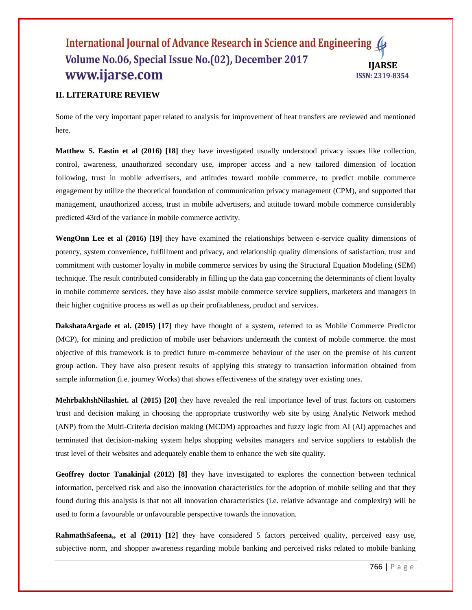# **II. LITERATURE REVIEW**

Some of the very important paper related to analysis for improvement of heat transfers are reviewed and mentioned here.

**Matthew S. Eastin et al (2016) [18]** they have investigated usually understood privacy issues like collection, control, awareness, unauthorized secondary use, improper access and a new tailored dimension of location following, trust in mobile advertisers, and attitudes toward mobile commerce, to predict mobile commerce engagement by utilize the theoretical foundation of communication privacy management (CPM), and supported that management, unauthorized access, trust in mobile advertisers, and attitude toward mobile commerce considerably predicted 43rd of the variance in mobile commerce activity.

**WengOnn Lee et al (2016) [19]** they have examined the relationships between e-service quality dimensions of potency, system convenience, fulfillment and privacy, and relationship quality dimensions of satisfaction, trust and commitment with customer loyalty in mobile commerce services by using the Structural Equation Modeling (SEM) technique. The result contributed considerably in filling up the data gap concerning the determinants of client loyalty in mobile commerce services. they have also assist mobile commerce service suppliers, marketers and managers in their higher cognitive process as well as up their profitableness, product and services.

**DakshataArgade et al. (2015) [17]** they have thought of a system, referred to as Mobile Commerce Predictor (MCP), for mining and prediction of mobile user behaviors underneath the context of mobile commerce. the most objective of this framework is to predict future m-commerce behaviour of the user on the premise of his current group action. They have also present results of applying this strategy to transaction information obtained from sample information (i.e. journey Works) that shows effectiveness of the strategy over existing ones.

**MehrbakhshNilashiet. al (2015) [20]** they have revealed the real importance level of trust factors on customers 'trust and decision making in choosing the appropriate trustworthy web site by using Analytic Network method (ANP) from the Multi-Criteria decision making (MCDM) approaches and fuzzy logic from AI (AI) approaches and terminated that decision-making system helps shopping websites managers and service suppliers to establish the trust level of their websites and adequately enable them to enhance the web site quality.

**Geoffrey doctor Tanakinjal (2012) [8]** they have investigated to explores the connection between technical information, perceived risk and also the innovation characteristics for the adoption of mobile selling and that they found during this analysis is that not all innovation characteristics (i.e. relative advantage and complexity) will be used to form a favourable or unfavourable perspective towards the innovation.

**RahmathSafeena,, et al (2011) [12]** they have considered 5 factors perceived quality, perceived easy use, subjective norm, and shopper awareness regarding mobile banking and perceived risks related to mobile banking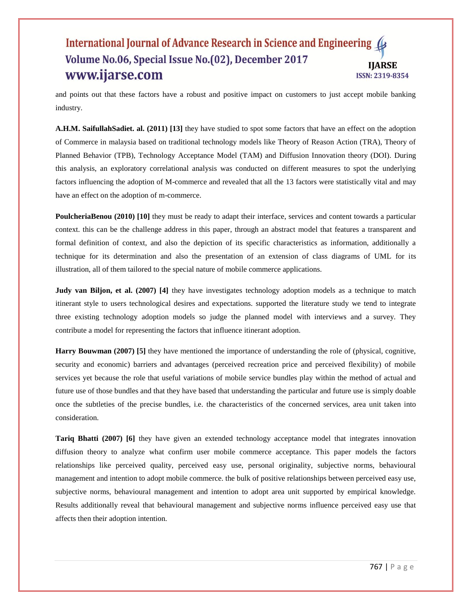and points out that these factors have a robust and positive impact on customers to just accept mobile banking industry.

**A.H.M. SaifullahSadiet. al. (2011) [13]** they have studied to spot some factors that have an effect on the adoption of Commerce in malaysia based on traditional technology models like Theory of Reason Action (TRA), Theory of Planned Behavior (TPB), Technology Acceptance Model (TAM) and Diffusion Innovation theory (DOI). During this analysis, an exploratory correlational analysis was conducted on different measures to spot the underlying factors influencing the adoption of M-commerce and revealed that all the 13 factors were statistically vital and may have an effect on the adoption of m-commerce.

**PoulcheriaBenou (2010) [10]** they must be ready to adapt their interface, services and content towards a particular context. this can be the challenge address in this paper, through an abstract model that features a transparent and formal definition of context, and also the depiction of its specific characteristics as information, additionally a technique for its determination and also the presentation of an extension of class diagrams of UML for its illustration, all of them tailored to the special nature of mobile commerce applications.

**Judy van Biljon, et al. (2007)** [4] they have investigates technology adoption models as a technique to match itinerant style to users technological desires and expectations. supported the literature study we tend to integrate three existing technology adoption models so judge the planned model with interviews and a survey. They contribute a model for representing the factors that influence itinerant adoption.

**Harry Bouwman (2007) [5]** they have mentioned the importance of understanding the role of (physical, cognitive, security and economic) barriers and advantages (perceived recreation price and perceived flexibility) of mobile services yet because the role that useful variations of mobile service bundles play within the method of actual and future use of those bundles and that they have based that understanding the particular and future use is simply doable once the subtleties of the precise bundles, i.e. the characteristics of the concerned services, area unit taken into consideration.

**Tariq Bhatti (2007)** [6] they have given an extended technology acceptance model that integrates innovation diffusion theory to analyze what confirm user mobile commerce acceptance. This paper models the factors relationships like perceived quality, perceived easy use, personal originality, subjective norms, behavioural management and intention to adopt mobile commerce. the bulk of positive relationships between perceived easy use, subjective norms, behavioural management and intention to adopt area unit supported by empirical knowledge. Results additionally reveal that behavioural management and subjective norms influence perceived easy use that affects then their adoption intention.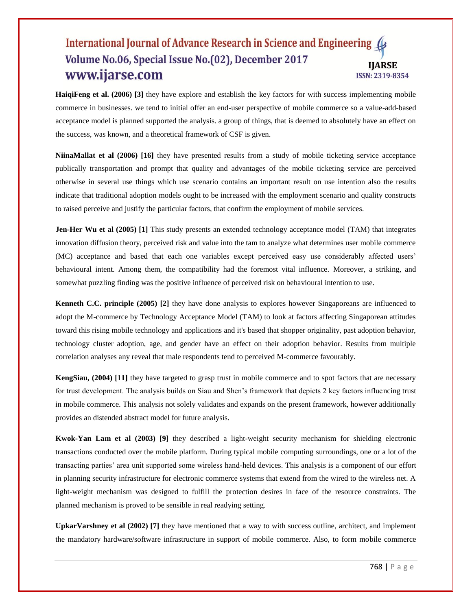**HaiqiFeng et al. (2006) [3]** they have explore and establish the key factors for with success implementing mobile commerce in businesses. we tend to initial offer an end-user perspective of mobile commerce so a value-add-based acceptance model is planned supported the analysis. a group of things, that is deemed to absolutely have an effect on the success, was known, and a theoretical framework of CSF is given.

**NiinaMallat et al (2006) [16]** they have presented results from a study of mobile ticketing service acceptance publically transportation and prompt that quality and advantages of the mobile ticketing service are perceived otherwise in several use things which use scenario contains an important result on use intention also the results indicate that traditional adoption models ought to be increased with the employment scenario and quality constructs to raised perceive and justify the particular factors, that confirm the employment of mobile services.

**Jen-Her Wu et al (2005) [1] This study presents an extended technology acceptance model (TAM) that integrates** innovation diffusion theory, perceived risk and value into the tam to analyze what determines user mobile commerce (MC) acceptance and based that each one variables except perceived easy use considerably affected users" behavioural intent. Among them, the compatibility had the foremost vital influence. Moreover, a striking, and somewhat puzzling finding was the positive influence of perceived risk on behavioural intention to use.

**Kenneth C.C. principle (2005) [2]** they have done analysis to explores however Singaporeans are influenced to adopt the M-commerce by Technology Acceptance Model (TAM) to look at factors affecting Singaporean attitudes toward this rising mobile technology and applications and it's based that shopper originality, past adoption behavior, technology cluster adoption, age, and gender have an effect on their adoption behavior. Results from multiple correlation analyses any reveal that male respondents tend to perceived M-commerce favourably.

**KengSiau, (2004) [11]** they have targeted to grasp trust in mobile commerce and to spot factors that are necessary for trust development. The analysis builds on Siau and Shen"s framework that depicts 2 key factors influencing trust in mobile commerce. This analysis not solely validates and expands on the present framework, however additionally provides an distended abstract model for future analysis.

**Kwok-Yan Lam et al (2003) [9]** they described a light-weight security mechanism for shielding electronic transactions conducted over the mobile platform. During typical mobile computing surroundings, one or a lot of the transacting parties" area unit supported some wireless hand-held devices. This analysis is a component of our effort in planning security infrastructure for electronic commerce systems that extend from the wired to the wireless net. A light-weight mechanism was designed to fulfill the protection desires in face of the resource constraints. The planned mechanism is proved to be sensible in real readying setting.

**UpkarVarshney et al (2002) [7]** they have mentioned that a way to with success outline, architect, and implement the mandatory hardware/software infrastructure in support of mobile commerce. Also, to form mobile commerce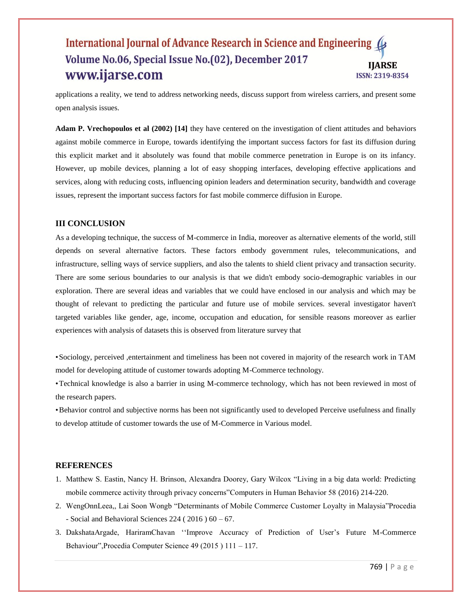applications a reality, we tend to address networking needs, discuss support from wireless carriers, and present some open analysis issues.

**Adam P. Vrechopoulos et al (2002) [14]** they have centered on the investigation of client attitudes and behaviors against mobile commerce in Europe, towards identifying the important success factors for fast its diffusion during this explicit market and it absolutely was found that mobile commerce penetration in Europe is on its infancy. However, up mobile devices, planning a lot of easy shopping interfaces, developing effective applications and services, along with reducing costs, influencing opinion leaders and determination security, bandwidth and coverage issues, represent the important success factors for fast mobile commerce diffusion in Europe.

# **III CONCLUSION**

As a developing technique, the success of M-commerce in India, moreover as alternative elements of the world, still depends on several alternative factors. These factors embody government rules, telecommunications, and infrastructure, selling ways of service suppliers, and also the talents to shield client privacy and transaction security. There are some serious boundaries to our analysis is that we didn't embody socio-demographic variables in our exploration. There are several ideas and variables that we could have enclosed in our analysis and which may be thought of relevant to predicting the particular and future use of mobile services. several investigator haven't targeted variables like gender, age, income, occupation and education, for sensible reasons moreover as earlier experiences with analysis of datasets this is observed from literature survey that

•Sociology, perceived ,entertainment and timeliness has been not covered in majority of the research work in TAM model for developing attitude of customer towards adopting M-Commerce technology.

•Technical knowledge is also a barrier in using M-commerce technology, which has not been reviewed in most of the research papers.

•Behavior control and subjective norms has been not significantly used to developed Perceive usefulness and finally to develop attitude of customer towards the use of M-Commerce in Various model.

# **REFERENCES**

- 1. Matthew S. Eastin, Nancy H. Brinson, Alexandra Doorey, Gary Wilcox "Living in a big data world: Predicting mobile commerce activity through privacy concerns"Computers in Human Behavior 58 (2016) 214-220.
- 2. WengOnnLeea,, Lai Soon Wongb "Determinants of Mobile Commerce Customer Loyalty in Malaysia"Procedia - Social and Behavioral Sciences 224 ( 2016 ) 60 – 67.
- 3. DakshataArgade, HariramChavan ""Improve Accuracy of Prediction of User"s Future M-Commerce Behaviour",Procedia Computer Science 49 (2015 ) 111 – 117.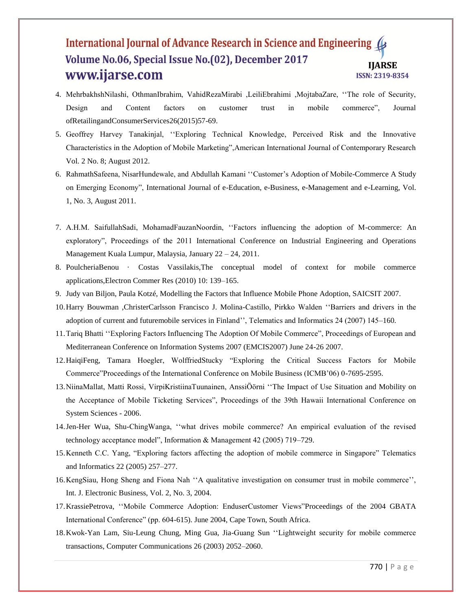- 4. MehrbakhshNilashi, OthmanIbrahim, VahidRezaMirabi ,LeiliEbrahimi ,MojtabaZare, ""The role of Security, Design and Content factors on customer trust in mobile commerce", Journal ofRetailingandConsumerServices26(2015)57-69.
- 5. Geoffrey Harvey Tanakinjal, ""Exploring Technical Knowledge, Perceived Risk and the Innovative Characteristics in the Adoption of Mobile Marketing",American International Journal of Contemporary Research Vol. 2 No. 8; August 2012.
- 6. RahmathSafeena, NisarHundewale, and Abdullah Kamani ""Customer"s Adoption of Mobile-Commerce A Study on Emerging Economy", International Journal of e-Education, e-Business, e-Management and e-Learning, Vol. 1, No. 3, August 2011.
- 7. A.H.M. SaifullahSadi, MohamadFauzanNoordin, ""Factors influencing the adoption of M-commerce: An exploratory", Proceedings of the 2011 International Conference on Industrial Engineering and Operations Management Kuala Lumpur, Malaysia, January 22 – 24, 2011.
- 8. PoulcheriaBenou · Costas Vassilakis,The conceptual model of context for mobile commerce applications,Electron Commer Res (2010) 10: 139–165.
- 9. Judy van Biljon, Paula Kotzé, Modelling the Factors that Influence Mobile Phone Adoption, SAICSIT 2007.
- 10.Harry Bouwman ,ChristerCarlsson Francisco J. Molina-Castillo, Pirkko Walden ""Barriers and drivers in the adoption of current and futuremobile services in Finland", Telematics and Informatics 24 (2007) 145-160.
- 11.Tariq Bhatti ""Exploring Factors Influencing The Adoption Of Mobile Commerce", Proceedings of European and Mediterranean Conference on Information Systems 2007 (EMCIS2007) June 24-26 2007.
- 12.HaiqiFeng, Tamara Hoegler, WolffriedStucky "Exploring the Critical Success Factors for Mobile Commerce"Proceedings of the International Conference on Mobile Business (ICMB"06) 0-7695-2595.
- 13.NiinaMallat, Matti Rossi, VirpiKristiinaTuunainen, AnssiÖörni ""The Impact of Use Situation and Mobility on the Acceptance of Mobile Ticketing Services", Proceedings of the 39th Hawaii International Conference on System Sciences - 2006.
- 14.Jen-Her Wua, Shu-ChingWanga, ""what drives mobile commerce? An empirical evaluation of the revised technology acceptance model", Information & Management 42 (2005) 719–729.
- 15.Kenneth C.C. Yang, "Exploring factors affecting the adoption of mobile commerce in Singapore" Telematics and Informatics 22 (2005) 257–277.
- 16.KengSiau, Hong Sheng and Fiona Nah ""A qualitative investigation on consumer trust in mobile commerce"", Int. J. Electronic Business, Vol. 2, No. 3, 2004.
- 17.KrassiePetrova, ""Mobile Commerce Adoption: EnduserCustomer Views"Proceedings of the 2004 GBATA International Conference" (pp. 604-615). June 2004, Cape Town, South Africa.
- 18.Kwok-Yan Lam, Siu-Leung Chung, Ming Gua, Jia-Guang Sun ""Lightweight security for mobile commerce transactions, Computer Communications 26 (2003) 2052–2060.